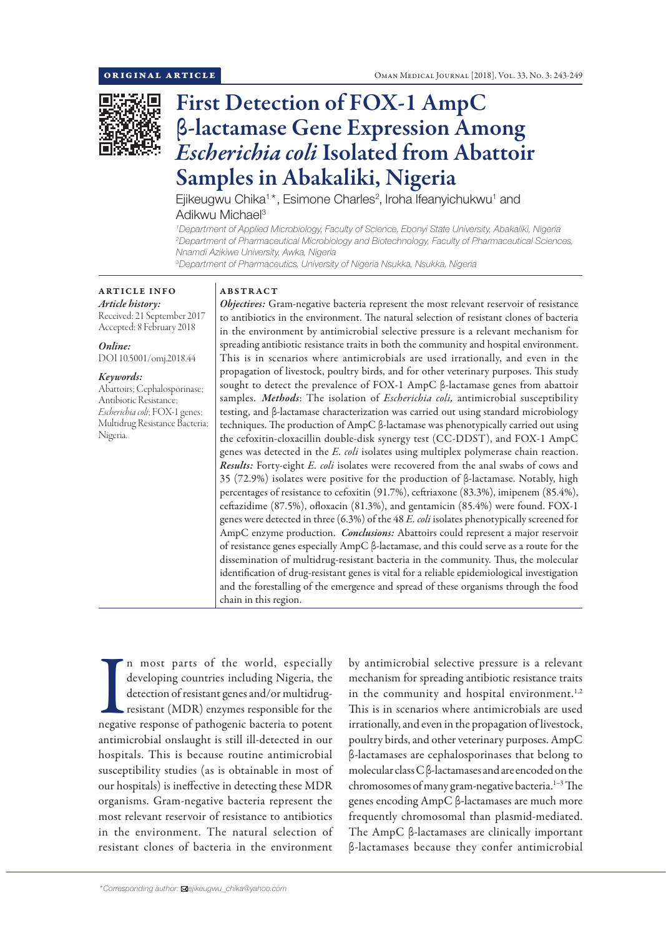

# First Detection of FOX-1 AmpC β-lactamase Gene Expression Among *Escherichia coli* Isolated from Abattoir Samples in Abakaliki, Nigeria

Ejikeugwu Chika<sup>1\*</sup>, Esimone Charles<sup>2</sup>, Iroha Ifeanyichukwu<sup>1</sup> and Adikwu Michael<sup>3</sup>

*1 Department of Applied Microbiology, Faculty of Science, Ebonyi State University, Abakaliki, Nigeria 2 Department of Pharmaceutical Microbiology and Biotechnology, Faculty of Pharmaceutical Sciences, Nnamdi Azikiwe University, Awka, Nigeria*

*3 Department of Pharmaceutics, University of Nigeria Nsukka, Nsukka, Nigeria*

# ARTICLE INFO *Article history:*

Received: 21 September 2017 Accepted: 8 February 2018

*Online:* DOI 10.5001/omj.2018.44

# *Keywords:*

Abattoirs; Cephalosporinase; Antibiotic Resistance; *Escherichia coli*; FOX-1 genes; Multidrug Resistance Bacteria; Nigeria.

#### ABSTRACT

*Objectives:* Gram-negative bacteria represent the most relevant reservoir of resistance to antibiotics in the environment. The natural selection of resistant clones of bacteria in the environment by antimicrobial selective pressure is a relevant mechanism for spreading antibiotic resistance traits in both the community and hospital environment. This is in scenarios where antimicrobials are used irrationally, and even in the propagation of livestock, poultry birds, and for other veterinary purposes. This study sought to detect the prevalence of FOX-1 AmpC β-lactamase genes from abattoir samples. *Methods*: The isolation of *Escherichia coli,* antimicrobial susceptibility testing, and β-lactamase characterization was carried out using standard microbiology techniques. The production of AmpC β-lactamase was phenotypically carried out using the cefoxitin-cloxacillin double-disk synergy test (CC-DDST), and FOX-1 AmpC genes was detected in the *E. coli* isolates using multiplex polymerase chain reaction. *Results:* Forty-eight *E. coli* isolates were recovered from the anal swabs of cows and 35 (72.9%) isolates were positive for the production of β-lactamase. Notably, high percentages of resistance to cefoxitin (91.7%), ceftriaxone (83.3%), imipenem (85.4%), ceftazidime (87.5%), ofloxacin (81.3%), and gentamicin (85.4%) were found. FOX-1 genes were detected in three (6.3%) of the 48 *E. coli* isolates phenotypically screened for AmpC enzyme production. *Conclusions:* Abattoirs could represent a major reservoir of resistance genes especially AmpC β-lactamase, and this could serve as a route for the dissemination of multidrug-resistant bacteria in the community. Thus, the molecular identification of drug-resistant genes is vital for a reliable epidemiological investigation and the forestalling of the emergence and spread of these organisms through the food chain in this region.

In most parts of the world, especially developing countries including Nigeria, the detection of resistant genes and/or multidrug-<br>resistant (MDR) enzymes responsible for the negative response of pathogenic bacteria to pote n most parts of the world, especially developing countries including Nigeria, the detection of resistant genes and/or multidrugresistant (MDR) enzymes responsible for the antimicrobial onslaught is still ill-detected in our hospitals. This is because routine antimicrobial susceptibility studies (as is obtainable in most of our hospitals) is ineffective in detecting these MDR organisms. Gram-negative bacteria represent the most relevant reservoir of resistance to antibiotics in the environment. The natural selection of resistant clones of bacteria in the environment

by antimicrobial selective pressure is a relevant mechanism for spreading antibiotic resistance traits in the community and hospital environment.<sup>1,2</sup> This is in scenarios where antimicrobials are used irrationally, and even in the propagation of livestock, poultry birds, and other veterinary purposes. AmpC β-lactamases are cephalosporinases that belong to molecular class C β-lactamases and are encoded on the chromosomes of many gram-negative bacteria.<sup>1-3</sup> The genes encoding AmpC β-lactamases are much more frequently chromosomal than plasmid-mediated. The AmpC β-lactamases are clinically important β-lactamases because they confer antimicrobial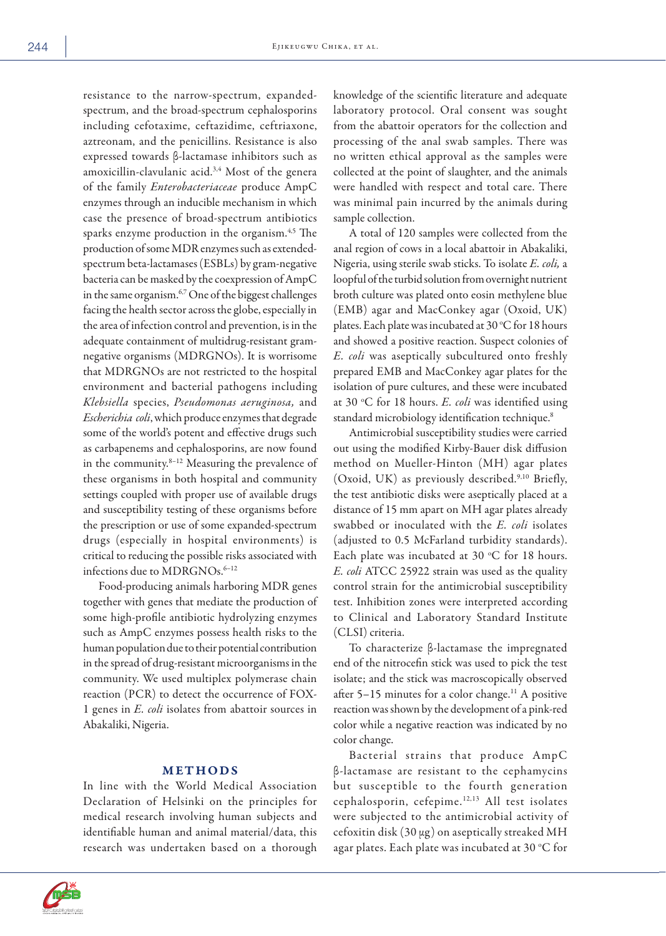resistance to the narrow-spectrum, expandedspectrum, and the broad-spectrum cephalosporins including cefotaxime, ceftazidime, ceftriaxone, aztreonam, and the penicillins. Resistance is also expressed towards β-lactamase inhibitors such as amoxicillin-clavulanic acid.<sup>3,4</sup> Most of the genera of the family *Enterobacteriaceae* produce AmpC enzymes through an inducible mechanism in which case the presence of broad-spectrum antibiotics sparks enzyme production in the organism.<sup>4,5</sup> The production of some MDR enzymes such as extendedspectrum beta-lactamases (ESBLs) by gram-negative bacteria can be masked by the coexpression of AmpC in the same organism.<sup>6,7</sup> One of the biggest challenges facing the health sector across the globe, especially in the area of infection control and prevention, is in the adequate containment of multidrug-resistant gramnegative organisms (MDRGNOs). It is worrisome that MDRGNOs are not restricted to the hospital environment and bacterial pathogens including *Klebsiella* species, *Pseudomonas aeruginosa,* and *Escherichia coli*, which produce enzymes that degrade some of the world's potent and effective drugs such as carbapenems and cephalosporins, are now found in the community.8–12 Measuring the prevalence of these organisms in both hospital and community settings coupled with proper use of available drugs and susceptibility testing of these organisms before the prescription or use of some expanded-spectrum drugs (especially in hospital environments) is critical to reducing the possible risks associated with infections due to MDRGNOs.<sup>6-12</sup>

Food-producing animals harboring MDR genes together with genes that mediate the production of some high-profile antibiotic hydrolyzing enzymes such as AmpC enzymes possess health risks to the human population due to their potential contribution in the spread of drug-resistant microorganisms in the community. We used multiplex polymerase chain reaction (PCR) to detect the occurrence of FOX-1 genes in *E. coli* isolates from abattoir sources in Abakaliki, Nigeria.

## METHODS

In line with the World Medical Association Declaration of Helsinki on the principles for medical research involving human subjects and identifiable human and animal material/data, this research was undertaken based on a thorough

knowledge of the scientific literature and adequate laboratory protocol. Oral consent was sought from the abattoir operators for the collection and processing of the anal swab samples. There was no written ethical approval as the samples were collected at the point of slaughter, and the animals were handled with respect and total care. There was minimal pain incurred by the animals during sample collection.

A total of 120 samples were collected from the anal region of cows in a local abattoir in Abakaliki, Nigeria, using sterile swab sticks. To isolate *E. coli,* a loopful of the turbid solution from overnight nutrient broth culture was plated onto eosin methylene blue (EMB) agar and MacConkey agar (Oxoid, UK) plates. Each plate was incubated at 30  $\rm ^{\circ}C$  for 18 hours and showed a positive reaction. Suspect colonies of *E. coli* was aseptically subcultured onto freshly prepared EMB and MacConkey agar plates for the isolation of pure cultures, and these were incubated at 30 °C for 18 hours. *E. coli* was identified using standard microbiology identification technique.<sup>8</sup>

Antimicrobial susceptibility studies were carried out using the modified Kirby-Bauer disk diffusion method on Mueller-Hinton (MH) agar plates (Oxoid, UK) as previously described.<sup>9,10</sup> Briefly, the test antibiotic disks were aseptically placed at a distance of 15 mm apart on MH agar plates already swabbed or inoculated with the *E. coli* isolates (adjusted to 0.5 McFarland turbidity standards). Each plate was incubated at 30  $\,^{\circ}$ C for 18 hours. *E. coli* ATCC 25922 strain was used as the quality control strain for the antimicrobial susceptibility test. Inhibition zones were interpreted according to Clinical and Laboratory Standard Institute (CLSI) criteria.

To characterize β-lactamase the impregnated end of the nitrocefin stick was used to pick the test isolate; and the stick was macroscopically observed after  $5-15$  minutes for a color change.<sup>11</sup> A positive reaction was shown by the development of a pink-red color while a negative reaction was indicated by no color change.

Bacterial strains that produce AmpC β-lactamase are resistant to the cephamycins but susceptible to the fourth generation cephalosporin, cefepime.12,13 All test isolates were subjected to the antimicrobial activity of cefoxitin disk  $(30 \mu g)$  on aseptically streaked MH agar plates. Each plate was incubated at 30 °C for

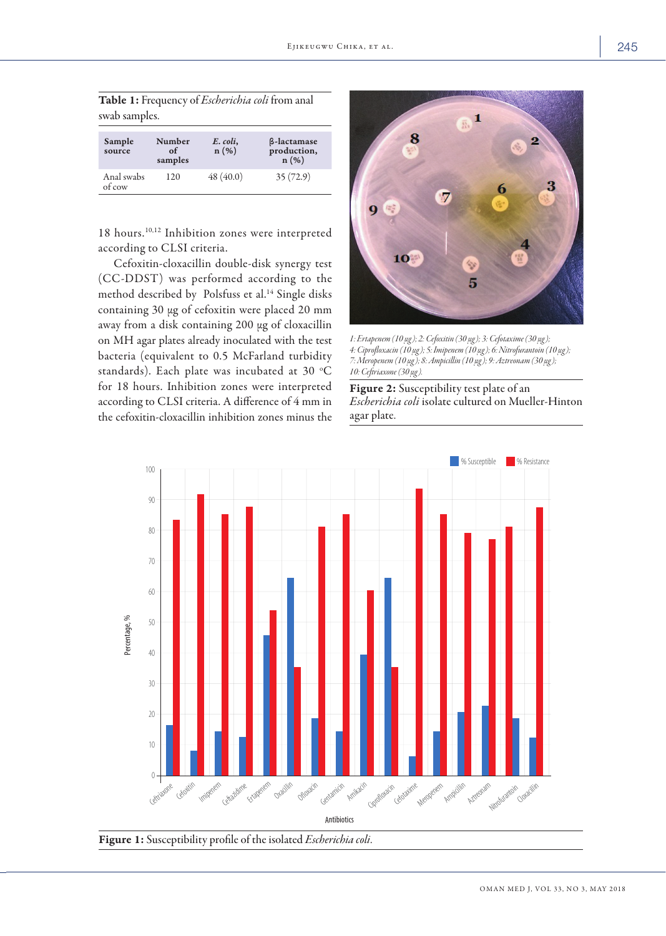| Table 1: Frequency of <i>Escherichia coli</i> from anal |  |  |  |
|---------------------------------------------------------|--|--|--|
| swab samples.                                           |  |  |  |

| Sample<br>source     | Number<br>of<br>samples | E. coli,<br>$n(\%)$ | <b><i>β</i>-lactamase</b><br>production,<br>$n(\%)$ |
|----------------------|-------------------------|---------------------|-----------------------------------------------------|
| Anal swabs<br>of cow | 120                     | 48(40.0)            | 35(72.9)                                            |

18 hours.10,12 Inhibition zones were interpreted according to CLSI criteria.

Cefoxitin-cloxacillin double-disk synergy test (CC-DDST) was performed according to the method described by Polsfuss et al.<sup>14</sup> Single disks containing 30 µg of cefoxitin were placed 20 mm away from a disk containing 200 µg of cloxacillin on MH agar plates already inoculated with the test bacteria (equivalent to 0.5 McFarland turbidity standards). Each plate was incubated at 30 °C  $\,$ for 18 hours. Inhibition zones were interpreted according to CLSI criteria. A difference of 4 mm in the cefoxitin-cloxacillin inhibition zones minus the



*1: Ertapenem (10 µg); 2: Cefoxitin (30 µg); 3: Cefotaxime (30 µg); 4: Ciprofloxacin (10 µg); 5: Imipenem (10 µg); 6: Nitrofurantoin (10 µg); 7: Meropenem (10 µg); 8: Ampicillin (10 µg); 9: Aztreonam (30 µg); 10: Ceftriaxone (30 µg).*

Figure 2: Susceptibility test plate of an *Escherichia coli* isolate cultured on Mueller-Hinton agar plate.



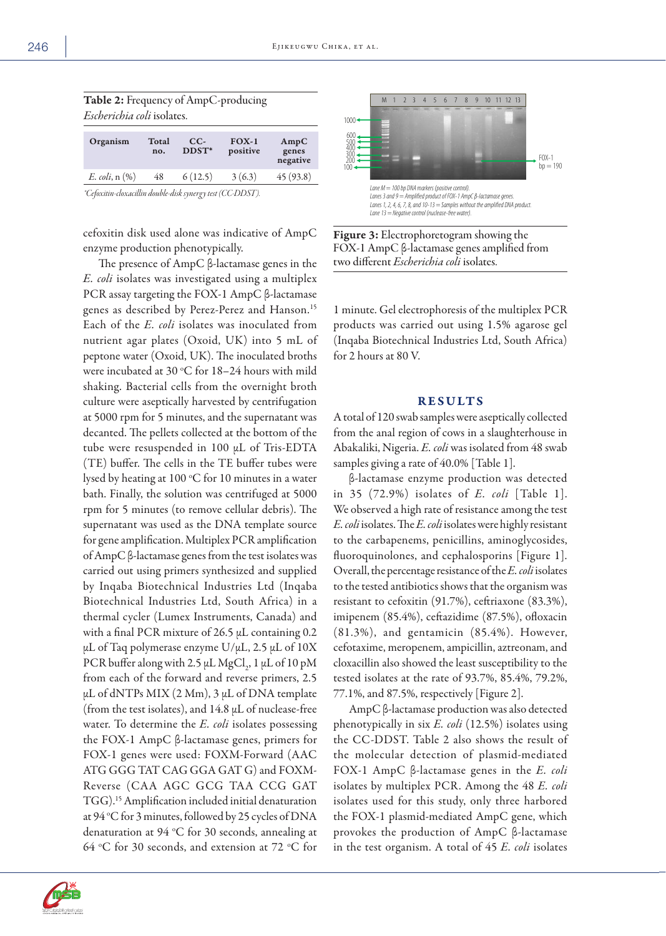|     |                | <i>Escherichia coli</i> isolates. |                           |  |  |  |  |  |  |  |
|-----|----------------|-----------------------------------|---------------------------|--|--|--|--|--|--|--|
| no. | $CC-$<br>DDST* | $FOX-1$<br>positive               | AmpC<br>genes<br>negative |  |  |  |  |  |  |  |
| 48  | 6(12.5)        | 3(6.3)                            | 45(93.8)                  |  |  |  |  |  |  |  |
|     | Total          |                                   |                           |  |  |  |  |  |  |  |

*\*Cefoxitin-cloxacillin double-disk synergy test (CC-DDST).*

Table 2: Frequency of AmpC-producing

cefoxitin disk used alone was indicative of AmpC enzyme production phenotypically.

The presence of AmpC β-lactamase genes in the *E. coli* isolates was investigated using a multiplex PCR assay targeting the FOX-1 AmpC β-lactamase genes as described by Perez-Perez and Hanson.15 Each of the *E. coli* isolates was inoculated from nutrient agar plates (Oxoid, UK) into 5 mL of peptone water (Oxoid, UK). The inoculated broths were incubated at 30  $\rm{^{\circ}C}$  for 18–24 hours with mild shaking. Bacterial cells from the overnight broth culture were aseptically harvested by centrifugation at 5000 rpm for 5 minutes, and the supernatant was decanted. The pellets collected at the bottom of the tube were resuspended in 100 µL of Tris-EDTA (TE) buffer. The cells in the TE buffer tubes were lysed by heating at 100 °C for 10 minutes in a water bath. Finally, the solution was centrifuged at 5000 rpm for 5 minutes (to remove cellular debris). The supernatant was used as the DNA template source for gene amplification. Multiplex PCR amplification of AmpC β-lactamase genes from the test isolates was carried out using primers synthesized and supplied by Inqaba Biotechnical Industries Ltd (Inqaba Biotechnical Industries Ltd, South Africa) in a thermal cycler (Lumex Instruments, Canada) and with a final PCR mixture of 26.5 µL containing 0.2  $\mu$ L of Taq polymerase enzyme U/ $\mu$ L, 2.5  $\mu$ L of 10X PCR buffer along with 2.5  $\mu$ L MgCl<sub>2</sub>, 1  $\mu$ L of 10 pM from each of the forward and reverse primers, 2.5  $\mu$ L of dNTPs MIX (2 Mm), 3  $\mu$ L of DNA template (from the test isolates), and  $14.8 \mu L$  of nuclease-free water. To determine the *E. coli* isolates possessing the FOX-1 AmpC β-lactamase genes, primers for FOX-1 genes were used: FOXM-Forward (AAC ATG GGG TAT CAG GGA GAT G) and FOXM-Reverse (CAA AGC GCG TAA CCG GAT TGG).15 Amplification included initial denaturation at 94 °C for 3 minutes, followed by 25 cycles of DNA denaturation at 94 °C for 30 seconds, annealing at 64 °C for 30 seconds, and extension at 72 °C for



Figure 3: Electrophoretogram showing the FOX-1 AmpC β-lactamase genes amplified from two different *Escherichia coli* isolates.

1 minute. Gel electrophoresis of the multiplex PCR products was carried out using 1.5% agarose gel (Inqaba Biotechnical Industries Ltd, South Africa) for 2 hours at 80 V.

## RESULTS

A total of 120 swab samples were aseptically collected from the anal region of cows in a slaughterhouse in Abakaliki, Nigeria. *E. coli* was isolated from 48 swab samples giving a rate of 40.0% [Table 1].

β-lactamase enzyme production was detected in 35 (72.9%) isolates of *E. coli* [Table 1]. We observed a high rate of resistance among the test *E. coli* isolates. The *E. coli* isolates were highly resistant to the carbapenems, penicillins, aminoglycosides, fluoroquinolones, and cephalosporins [Figure 1]. Overall, the percentage resistance of the *E. coli* isolates to the tested antibiotics shows that the organism was resistant to cefoxitin (91.7%), ceftriaxone (83.3%), imipenem (85.4%), ceftazidime (87.5%), ofloxacin (81.3%), and gentamicin (85.4%). However, cefotaxime, meropenem, ampicillin, aztreonam, and cloxacillin also showed the least susceptibility to the tested isolates at the rate of 93.7%, 85.4%, 79.2%, 77.1%, and 87.5%, respectively [Figure 2].

AmpC β-lactamase production was also detected phenotypically in six *E. coli* (12.5%) isolates using the CC-DDST. Table 2 also shows the result of the molecular detection of plasmid-mediated FOX-1 AmpC β-lactamase genes in the *E. coli* isolates by multiplex PCR. Among the 48 *E. coli* isolates used for this study, only three harbored the FOX-1 plasmid-mediated AmpC gene, which provokes the production of AmpC β-lactamase in the test organism. A total of 45 *E. coli* isolates

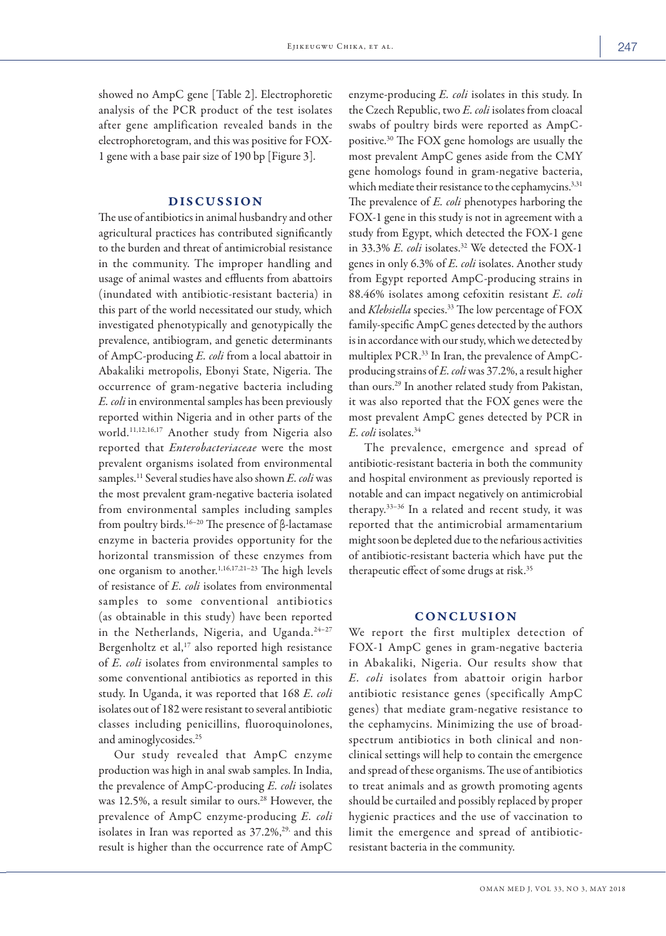showed no AmpC gene [Table 2]. Electrophoretic analysis of the PCR product of the test isolates after gene amplification revealed bands in the electrophoretogram, and this was positive for FOX-1 gene with a base pair size of 190 bp [Figure 3].

## DISCUSSION

The use of antibiotics in animal husbandry and other agricultural practices has contributed significantly to the burden and threat of antimicrobial resistance in the community. The improper handling and usage of animal wastes and effluents from abattoirs (inundated with antibiotic-resistant bacteria) in this part of the world necessitated our study, which investigated phenotypically and genotypically the prevalence, antibiogram, and genetic determinants of AmpC-producing *E. coli* from a local abattoir in Abakaliki metropolis, Ebonyi State, Nigeria. The occurrence of gram-negative bacteria including *E. coli* in environmental samples has been previously reported within Nigeria and in other parts of the world.11,12,16,17 Another study from Nigeria also reported that *Enterobacteriaceae* were the most prevalent organisms isolated from environmental samples.11 Several studies have also shown *E. coli* was the most prevalent gram-negative bacteria isolated from environmental samples including samples from poultry birds.16–20 The presence of β-lactamase enzyme in bacteria provides opportunity for the horizontal transmission of these enzymes from one organism to another.1,16,17,21–23 The high levels of resistance of *E. coli* isolates from environmental samples to some conventional antibiotics (as obtainable in this study) have been reported in the Netherlands, Nigeria, and Uganda.<sup>24-27</sup> Bergenholtz et al, $^{17}$  also reported high resistance of *E. coli* isolates from environmental samples to some conventional antibiotics as reported in this study. In Uganda, it was reported that 168 *E. coli* isolates out of 182 were resistant to several antibiotic classes including penicillins, fluoroquinolones, and aminoglycosides.25

Our study revealed that AmpC enzyme production was high in anal swab samples. In India, the prevalence of AmpC-producing *E. coli* isolates was 12.5%, a result similar to ours.<sup>28</sup> However, the prevalence of AmpC enzyme-producing *E. coli* isolates in Iran was reported as  $37.2\%$ , and this result is higher than the occurrence rate of AmpC enzyme-producing *E. coli* isolates in this study. In the Czech Republic, two *E. coli* isolates from cloacal swabs of poultry birds were reported as AmpCpositive.30 The FOX gene homologs are usually the most prevalent AmpC genes aside from the CMY gene homologs found in gram-negative bacteria, which mediate their resistance to the cephamycins.<sup>3,31</sup> The prevalence of *E. coli* phenotypes harboring the FOX-1 gene in this study is not in agreement with a study from Egypt, which detected the FOX-1 gene in 33.3% *E. coli* isolates.<sup>32</sup> We detected the FOX-1 genes in only 6.3% of *E. coli* isolates. Another study from Egypt reported AmpC-producing strains in 88.46% isolates among cefoxitin resistant *E. coli* and *Klebsiella* species.<sup>33</sup> The low percentage of FOX family-specific AmpC genes detected by the authors is in accordance with our study, which we detected by multiplex PCR.33 In Iran, the prevalence of AmpCproducing strains of *E. coli* was 37.2%, a result higher than ours.29 In another related study from Pakistan, it was also reported that the FOX genes were the most prevalent AmpC genes detected by PCR in *E. coli* isolates.34

The prevalence, emergence and spread of antibiotic-resistant bacteria in both the community and hospital environment as previously reported is notable and can impact negatively on antimicrobial therapy.33–36 In a related and recent study, it was reported that the antimicrobial armamentarium might soon be depleted due to the nefarious activities of antibiotic-resistant bacteria which have put the therapeutic effect of some drugs at risk.35

# CONCLUSION

We report the first multiplex detection of FOX-1 AmpC genes in gram-negative bacteria in Abakaliki, Nigeria. Our results show that *E. coli* isolates from abattoir origin harbor antibiotic resistance genes (specifically AmpC genes) that mediate gram-negative resistance to the cephamycins. Minimizing the use of broadspectrum antibiotics in both clinical and nonclinical settings will help to contain the emergence and spread of these organisms. The use of antibiotics to treat animals and as growth promoting agents should be curtailed and possibly replaced by proper hygienic practices and the use of vaccination to limit the emergence and spread of antibioticresistant bacteria in the community.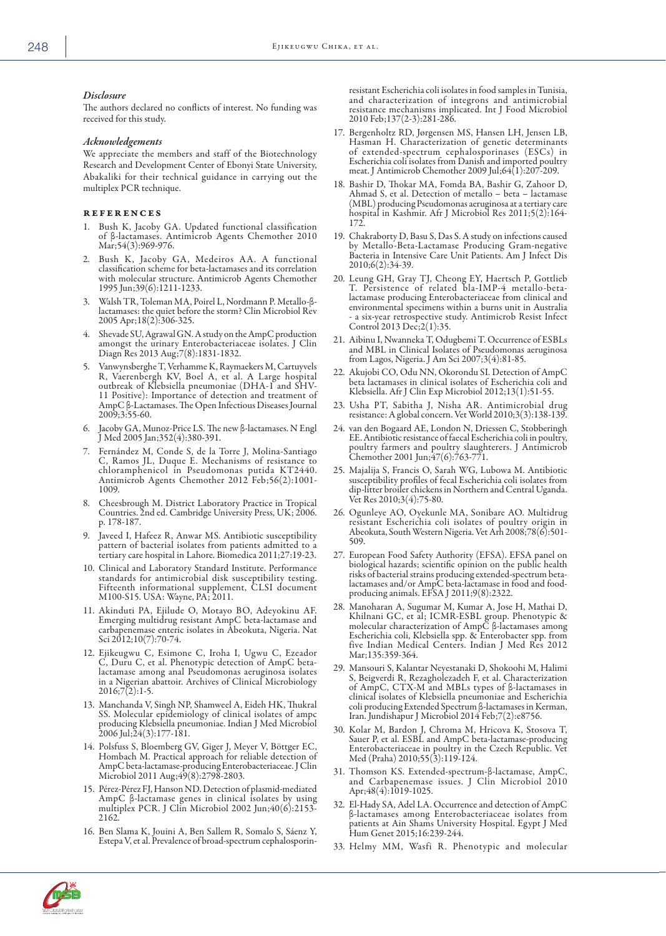#### *Disclosure*

The authors declared no conflicts of interest. No funding was received for this study.

#### *Acknowledgements*

We appreciate the members and staff of the Biotechnology Research and Development Center of Ebonyi State University, Abakaliki for their technical guidance in carrying out the multiplex PCR technique.

#### references

- 1. Bush K, Jacoby GA. Updated functional classification of β-lactamases. Antimicrob Agents Chemother 2010 Mar;54(3):969-976.
- 2. Bush K, Jacoby GA, Medeiros AA. A functional classification scheme for beta-lactamases and its correlation with molecular structure. Antimicrob Agents Chemother 1995 Jun;39(6):1211-1233.
- 3. Walsh TR, Toleman MA, Poirel L, Nordmann P. Metallo-βlactamases: the quiet before the storm? Clin Microbiol Rev 2005 Apr;18(2):306-325.
- 4. Shevade SU, Agrawal GN. A study on the AmpC production amongst the urinary Enterobacteriaceae isolates. J Clin Diagn Res 2013 Aug;7(8):1831-1832.
- Vanwynsberghe T, Verhamme K, Raymaekers M, Cartuyvels R, Vaerenbergh KV, Boel A, et al. A Large hospital outbreak of Klebsiella pneumoniae (DHA-1 and SHV-11 Positive): Importance of detection and treatment of AmpC β-Lactamases. The Open Infectious Diseases Journal 2009;3:55-60.
- 6. Jacoby GA, Munoz-Price LS. The new β-lactamases. N Engl J Med 2005 Jan;352(4):380-391.
- 7. Fernández M, Conde S, de la Torre J, Molina-Santiago C, Ramos JL, Duque E. Mechanisms of resistance to chloramphenicol in Pseudomonas putida KT2440. Antimicrob Agents Chemother 2012 Feb;56(2):1001- 1009.
- 8. Cheesbrough M. District Laboratory Practice in Tropical Countries. 2nd ed. Cambridge University Press, UK; 2006. p. 178-187.
- Javeed I, Hafeez R, Anwar MS. Antibiotic susceptibility pattern of bacterial isolates from patients admitted to a tertiary care hospital in Lahore. Biomedica 2011;27:19-23.
- 10. Clinical and Laboratory Standard Institute. Performance standards for antimicrobial disk susceptibility testing. Fifteenth informational supplement, CLSI document M100-S15. USA: Wayne, PA; 2011.
- 11. Akinduti PA, Ejilude O, Motayo BO, Adeyokinu AF. Emerging multidrug resistant AmpC beta-lactamase and carbapenemase enteric isolates in Abeokuta, Nigeria. Nat Sci 2012;10(7):70-74.
- 12. Ejikeugwu C, Esimone C, Iroha I, Ugwu C, Ezeador C, Duru C, et al. Phenotypic detection of AmpC betalactamase among anal Pseudomonas aeruginosa isolates in a Nigerian abattoir. Archives of Clinical Microbiology  $2016;7(2):1-5.$
- 13. Manchanda V, Singh NP, Shamweel A, Eideh HK, Thukral SS. Molecular epidemiology of clinical isolates of ampc producing Klebsiella pneumoniae. Indian J Med Microbiol 2006 Jul;24(3):177-181.
- 14. Polsfuss S, Bloemberg GV, Giger J, Meyer V, Böttger EC, Hombach M. Practical approach for reliable detection of AmpC beta-lactamase-producing Enterobacteriaceae. J Clin Microbiol 2011 Aug;49(8):2798-2803.
- 15. Pérez-Pérez FJ, Hanson ND. Detection of plasmid-mediated AmpC β-lactamase genes in clinical isolates by using multiplex PCR. J Clin Microbiol 2002 Jun;40(6):2153- 2162.
- 16. Ben Slama K, Jouini A, Ben Sallem R, Somalo S, Sáenz Y, Estepa V, et al. Prevalence of broad-spectrum cephalosporin-

resistant Escherichia coli isolates in food samples in Tunisia, and characterization of integrons and antimicrobial resistance mechanisms implicated. Int J Food Microbiol 2010 Feb;137(2-3):281-286.

- 17. Bergenholtz RD, Jørgensen MS, Hansen LH, Jensen LB, Hasman H. Characterization of genetic determinants of extended-spectrum cephalosporinases (ESCs) in Escherichia coli isolates from Danish and imported poultry meat. J Antimicrob Chemother 2009 Jul;64(1):207-209.
- 18. Bashir D, Thokar MA, Fomda BA, Bashir G, Zahoor D, Ahmad S, et al. Detection of metallo – beta – lactamase hospital in Kashmir. Afr J Microbiol Res 2011;5(2):164-172.
- 19. Chakraborty D, Basu S, Das S. A study on infections caused Bacteria in Intensive Care Unit Patients. Am J Infect Dis 2010;6(2):34-39.
- 20. Leung GH, Gray TJ, Cheong EY, Haertsch P, Gottlieb T. Persistence of related bla-IMP-4 metallo-betalactamase producing Enterobacteriaceae from clinical and environmental specimens within a burns unit in Australia a six-year retrospective study. Antimicrob Resist Infect Control 2013 Dec;2(1):35.
- 21. Aibinu I, Nwanneka T, Odugbemi T. Occurrence of ESBLs and MBL in Clinical Isolates of Pseudomonas aeruginosa from Lagos, Nigeria. J Am Sci 2007;3(4):81-85.
- 22. Akujobi CO, Odu NN, Okorondu SI. Detection of AmpC beta lactamases in clinical isolates of Escherichia coli and Klebsiella. Afr J Clin Exp Microbiol 2012;13(1):51-55.
- 23. Usha PT, Sabitha J, Nisha AR. Antimicrobial drug resistance: A global concern. Vet World 2010;3(3):138-139.
- 24. van den Bogaard AE, London N, Driessen C, Stobberingh EE. Antibiotic resistance of faecal Escherichia coli in poultry, poultry farmers and poultry slaughterers. J Antimicrob Chemother 2001 Jun;47(6):763-771.
- 25. Majalija S, Francis O, Sarah WG, Lubowa M. Antibiotic susceptibility profiles of fecal Escherichia coli isolates from dip-litter broiler chickens in Northern and Central Uganda. Vet Res 2010;3(4):75-80.
- 26. Ogunleye AO, Oyekunle MA, Sonibare AO. Multidrug resistant Escherichia coli isolates of poultry origin in Abeokuta, South Western Nigeria. Vet Arh 2008;78(6):501- 509.
- 27. European Food Safety Authority (EFSA). EFSA panel on biological hazards; scientific opinion on the public health risks of bacterial strains producing extended-spectrum betalactamases and/or AmpC beta-lactamase in food and foodproducing animals. EFSA J 2011;9(8):2322.
- 28. Manoharan A, Sugumar M, Kumar A, Jose H, Mathai D, molecular characterization of AmpC β-lactamases among Escherichia coli, Klebsiella spp. & Enterobacter spp. from five Indian Medical Centers. Indian J Med Res 2012 Mar;135:359-364.
- 29. Mansouri S, Kalantar Neyestanaki D, Shokoohi M, Halimi S, Beigverdi R, Rezagholezadeh F, et al. Characterization of AmpC, CTX-M and MBLs types of β-lactamases in clinical isolates of Klebsiella pneumoniae and Escherichia coli producing Extended Spectrum β-lactamases in Kerman, Iran. Jundishapur J Microbiol 2014 Feb;7(2):e8756.
- 30. Kolar M, Bardon J, Chroma M, Hricova K, Stosova T, Sauer P, et al. ESBL and AmpC beta-lactamase-producing Enterobacteriaceae in poultry in the Czech Republic. Vet Med (Praha) 2010;55(3):119-124.
- 31. Thomson KS. Extended-spectrum-β-lactamase, AmpC, and Carbapenemase issues. J Clin Microbiol 2010 Apr;48(4):1019-1025.
- 32. El-Hady SA, Adel LA. Occurrence and detection of AmpC β-lactamases among Enterobacteriaceae isolates from patients at Ain Shams University Hospital. Egypt J Med Hum Genet 2015;16:239-244.
- 33. Helmy MM, Wasfi R. Phenotypic and molecular